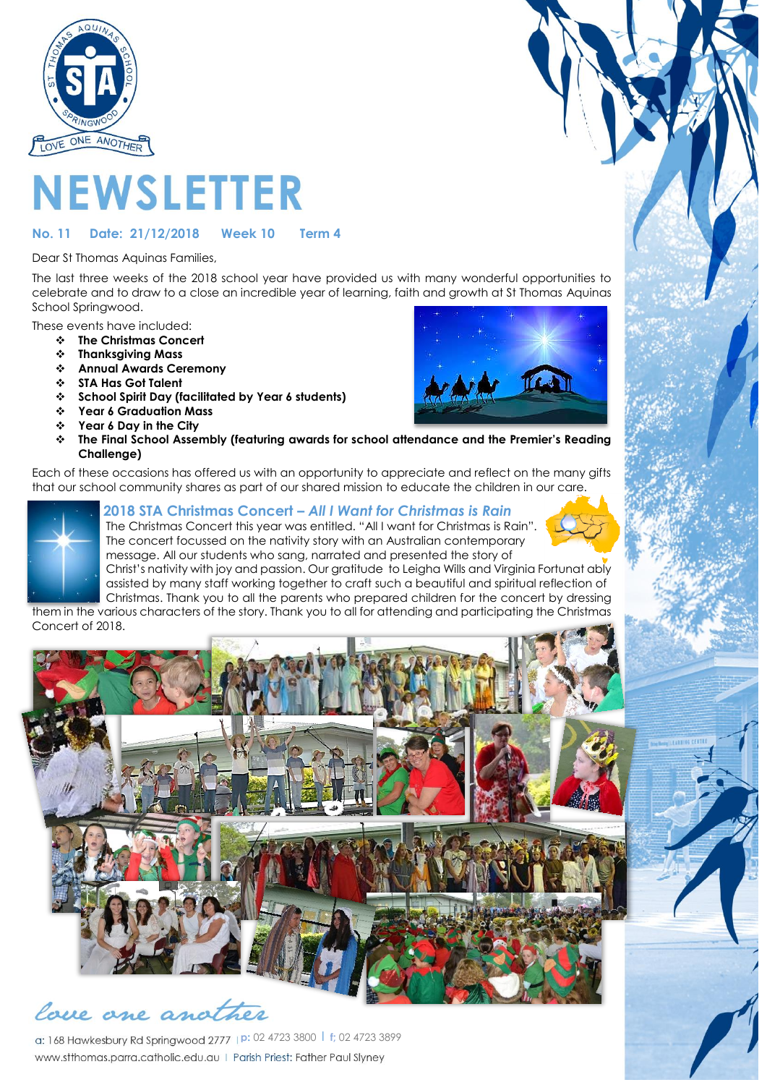

# **NEWSLETTER**

#### **No. 11 Date: 21/12/2018 Week 10 Term 4**

Dear St Thomas Aquinas Families,

The last three weeks of the 2018 school year have provided us with many wonderful opportunities to celebrate and to draw to a close an incredible year of learning, faith and growth at St Thomas Aquinas School Springwood.

These events have included:

- ❖ **The Christmas Concert**
- ❖ **Thanksgiving Mass**
- ❖ **Annual Awards Ceremony**<br>❖ STA Has Got Talent
- ❖ **STA Has Got Talent**

**Challenge)**

- ❖ **School Spirit Day (facilitated by Year 6 students)**
- ❖ **Year 6 Graduation Mass**
- ❖ **Year 6 Day in the City**



Each of these occasions has offered us with an opportunity to appreciate and reflect on the many gifts that our school community shares as part of our shared mission to educate the children in our care.



#### **2018 STA Christmas Concert –** *All I Want for Christmas is Rain*

 The Christmas Concert this year was entitled. "All I want for Christmas is Rain". The concert focussed on the nativity story with an Australian contemporary message. All our students who sang, narrated and presented the story of

 Christ's nativity with joy and passion. Our gratitude to Leigha Wills and Virginia Fortunat ably assisted by many staff working together to craft such a beautiful and spiritual reflection of Christmas. Thank you to all the parents who prepared children for the concert by dressing them in the various characters of the story. Thank you to all for attending and participating the Christmas Concert of 2018.



love one another

**p:** 02 4723 3800 l **f;** 02 4723 3899www.stthomas.parra.catholic.edu.au | Parish Priest: Father Paul Slyney

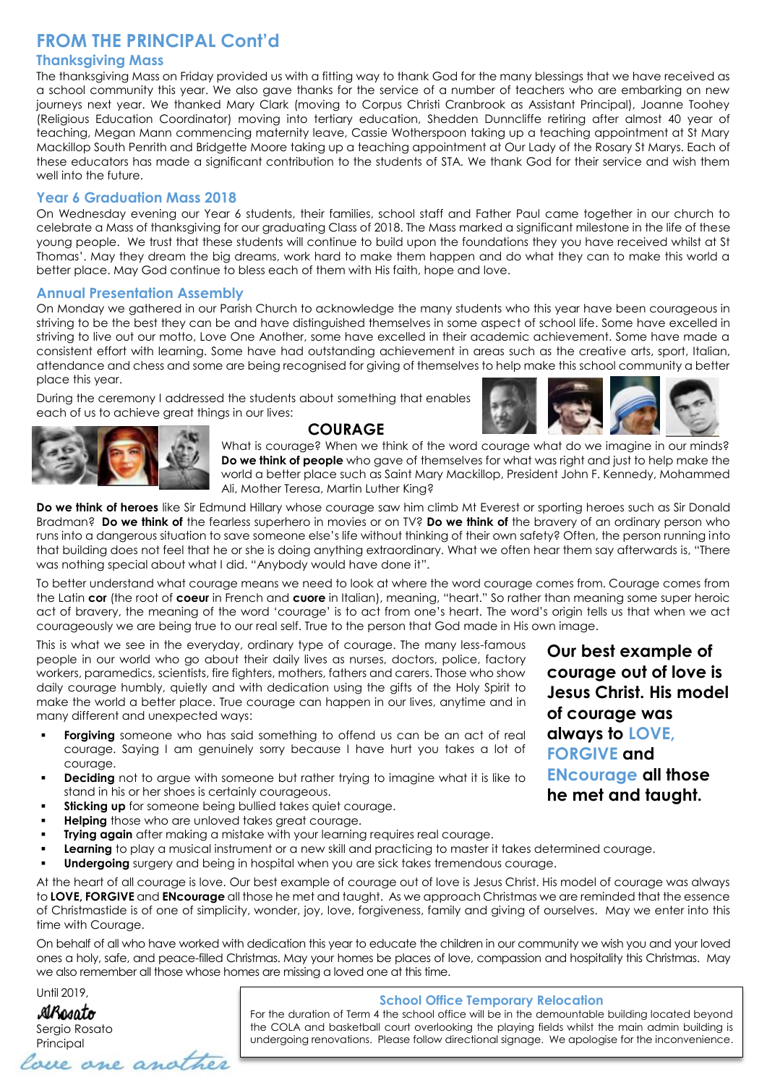# **FROM THE PRINCIPAL Cont'd**

#### **Thanksgiving Mass**

The thanksgiving Mass on Friday provided us with a fitting way to thank God for the many blessings that we have received as a school community this year. We also gave thanks for the service of a number of teachers who are embarking on new journeys next year. We thanked Mary Clark (moving to Corpus Christi Cranbrook as Assistant Principal), Joanne Toohey (Religious Education Coordinator) moving into tertiary education, Shedden Dunncliffe retiring after almost 40 year of teaching, Megan Mann commencing maternity leave, Cassie Wotherspoon taking up a teaching appointment at St Mary Mackillop South Penrith and Bridgette Moore taking up a teaching appointment at Our Lady of the Rosary St Marys. Each of these educators has made a significant contribution to the students of STA. We thank God for their service and wish them well into the future.

#### **Year 6 Graduation Mass 2018**

On Wednesday evening our Year 6 students, their families, school staff and Father Paul came together in our church to celebrate a Mass of thanksgiving for our graduating Class of 2018. The Mass marked a significant milestone in the life of these young people. We trust that these students will continue to build upon the foundations they you have received whilst at St Thomas'. May they dream the big dreams, work hard to make them happen and do what they can to make this world a better place. May God continue to bless each of them with His faith, hope and love.

#### **Annual Presentation Assembly**

On Monday we gathered in our Parish Church to acknowledge the many students who this year have been courageous in striving to be the best they can be and have distinguished themselves in some aspect of school life. Some have excelled in striving to live out our motto, Love One Another, some have excelled in their academic achievement. Some have made a consistent effort with learning. Some have had outstanding achievement in areas such as the creative arts, sport, Italian, attendance and chess and some are being recognised for giving of themselves to help make this school community a better place this year.

During the ceremony I addressed the students about something that enables each of us to achieve great things in our lives:





#### **COURAGE**

What is courage? When we think of the word courage what do we imagine in our minds? **Do we think of people** who gave of themselves for what was right and just to help make the world a better place such as Saint Mary Mackillop, President John F. Kennedy, Mohammed Ali, Mother Teresa, Martin Luther King?

**Do we think of heroes** like Sir Edmund Hillary whose courage saw him climb Mt Everest or sporting heroes such as Sir Donald Bradman? **Do we think of** the fearless superhero in movies or on TV? **Do we think of** the bravery of an ordinary person who runs into a dangerous situation to save someone else's life without thinking of their own safety? Often, the person running into that building does not feel that he or she is doing anything extraordinary. What we often hear them say afterwards is, "There was nothing special about what I did. "Anybody would have done it".

To better understand what courage means we need to look at where the word courage comes from. Courage comes from the Latin **cor** (the root of **coeur** in French and **cuore** in Italian), meaning, "heart." So rather than meaning some super heroic act of bravery, the meaning of the word 'courage' is to act from one's heart. The word's origin tells us that when we act courageously we are being true to our real self. True to the person that God made in His own image.

This is what we see in the everyday, ordinary type of courage. The many less-famous people in our world who go about their daily lives as nurses, doctors, police, factory workers, paramedics, scientists, fire fighters, mothers, fathers and carers. Those who show daily courage humbly, quietly and with dedication using the gifts of the Holy Spirit to make the world a better place. True courage can happen in our lives, anytime and in many different and unexpected ways:

- **Forgiving** someone who has said something to offend us can be an act of real courage. Saying I am genuinely sorry because I have hurt you takes a lot of courage.
- **Deciding** not to argue with someone but rather trying to imagine what it is like to stand in his or her shoes is certainly courageous.
- **Sticking up** for someone being bullied takes quiet courage.
- **Helping** those who are unloved takes great courage.
- **Trying again** after making a mistake with your learning requires real courage.
- Learning to play a musical instrument or a new skill and practicing to master it takes determined courage.
- **Undergoing** surgery and being in hospital when you are sick takes tremendous courage.

At the heart of all courage is love. Our best example of courage out of love is Jesus Christ. His model of courage was always to **LOVE, FORGIVE** and **ENcourage** all those he met and taught. As we approach Christmas we are reminded that the essence of Christmastide is of one of simplicity, wonder, joy, love, forgiveness, family and giving of ourselves. May we enter into this time with Courage.

On behalf of all who have worked with dedication this year to educate the children in our community we wish you and your loved ones a holy, safe, and peace-filled Christmas. May your homes be places of love, compassion and hospitality this Christmas. May we also remember all those whose homes are missing a loved one at this time.

Until 2019,

**AlRogato** Sergio Rosato Principal<br>Come another

#### **School Office Temporary Relocation**

For the duration of Term 4 the school office will be in the demountable building located beyond the COLA and basketball court overlooking the playing fields whilst the main admin building is undergoing renovations. Please follow directional signage. We apologise for the inconvenience.

**Our best example of courage out of love is Jesus Christ. His model of courage was always to LOVE, FORGIVE and ENcourage all those he met and taught.**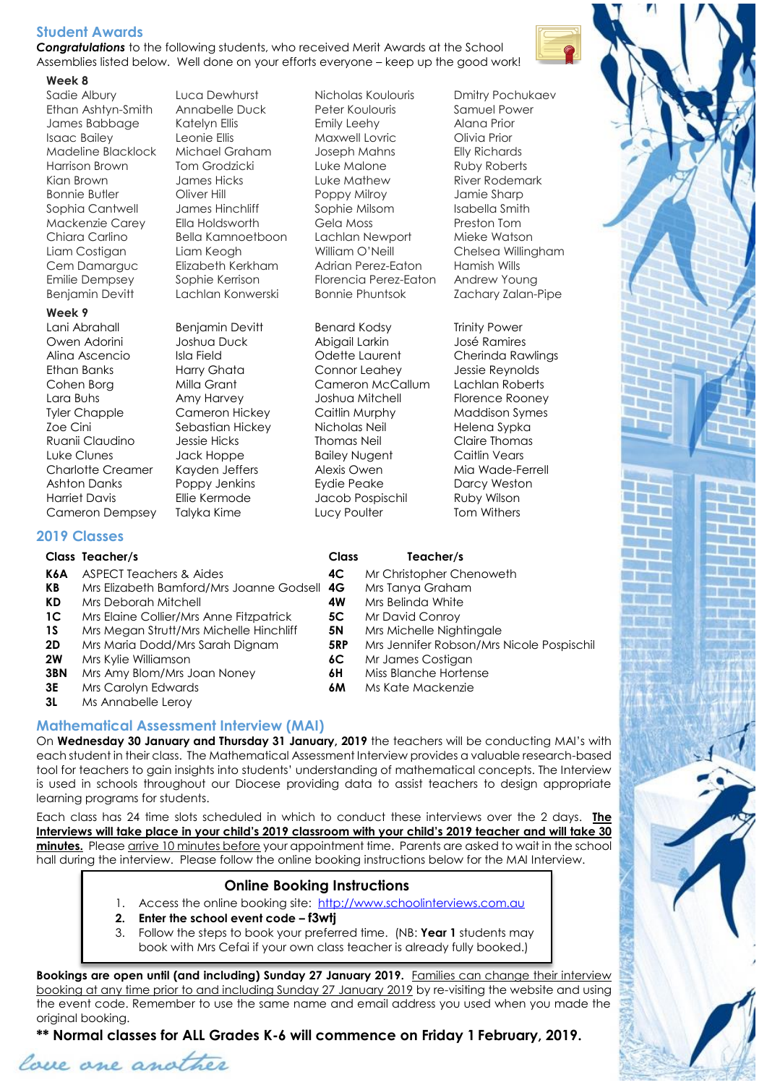#### **Student Awards**

*Congratulations* to the following students, who received Merit Awards at the School Assemblies listed below. Well done on your efforts everyone – keep up the good work!

#### **Week 8**

Benjamin Devitt Lachlan Konwerski Bonnie Phuntsok Zachary Zalan-Pipe

#### **Week 9**

Cameron Dempsey Talyka Kime Lucy Poulter Tom Withers

Sadie Albury **Luca Dewhurst** Nicholas Koulouris Dmitry Pochukaev

Ethan Ashtyn-Smith Annabelle Duck Peter Koulouris Samuel Power James Babbage Katelyn Ellis Emily Leehy Alana Prior Isaac Bailey Leonie Ellis Maxwell Lovric Olivia Prior Madeline Blacklock Michael Graham Joseph Mahns Elly Richards Harrison Brown Tom Grodzicki Luke Malone Ruby Roberts Kian Brown James Hicks Luke Mathew River Rodemark Bonnie Butler Oliver Hill Poppy Milroy Jamie Sharp Sophia Cantwell James Hinchliff Sophie Milsom Isabella Smith Mackenzie Carey Ella Holdsworth Gela Moss Preston Tom Chiara Carlino Bella Kamnoetboon Lachlan Newport Mieke Watson Liam Costigan Liam Keogh William O'Neill Chelsea Willingham Cem Damarguc Elizabeth Kerkham Adrian Perez-Eaton Hamish Wills Emilie Dempsey Sophie Kerrison Florencia Perez-Eaton Andrew Young

Lani Abrahall Benjamin Devitt Benard Kodsy Trinity Power Owen Adorini Joshua Duck Abigail Larkin José Ramires Alina Ascencio Isla Field Odette Laurent Cherinda Rawlings Ethan Banks Harry Ghata Connor Leahey Jessie Reynolds Cohen Borg Milla Grant Cameron McCallum Lachlan Roberts Lara Buhs Amy Harvey Joshua Mitchell Florence Rooney Tyler Chapple Cameron Hickey Caitlin Murphy Maddison Symes Zoe Cini Sebastian Hickey Nicholas Neil Helena Sypka Ruanii Claudino Jessie Hicks Thomas Neil Claire Thomas Luke Clunes Jack Hoppe Bailey Nugent Caitlin Vears Charlotte Creamer Kayden Jeffers Alexis Owen Mia Wade-Ferrell Ashton Danks Poppy Jenkins Eydie Peake Darcy Weston Harriet Davis Ellie Kermode Jacob Pospischil Ruby Wilson

|              | <b>Class</b> | Teacher/s                                 |
|--------------|--------------|-------------------------------------------|
|              | 4C           | Mr Christopher Chenoweth                  |
| e Godsell 4G |              | Mrs Tanya Graham                          |
|              | 4W           | Mrs Belinda White                         |
| ıtrick       | 5C           | Mr David Conroy                           |
| าchliff      | 5N           | Mrs Michelle Nightingale                  |
| m            | 5RP          | Mrs Jennifer Robson/Mrs Nicole Pospischil |
|              | 6C           | Mr James Costigan                         |
|              | 6H           | Miss Blanche Hortense                     |
|              | 6M           | Ms Kate Mackenzie                         |

#### **2019 Classes**

#### **Class Teacher/s Class Teacher/s**

- **K6A** ASPECT Teachers & Aides
- **KB** Mrs Elizabeth Bamford/Mrs Joanne
- **KD** Mrs Deborah Mitchell
- **1C** Mrs Elaine Collier/Mrs Anne Fitzpat
- **1S** Mrs Megan Strutt/Mrs Michelle Hin
- **2D** Mrs Maria Dodd/Mrs Sarah Dignam
- **2W** Mrs Kylie Williamson
- **3BN** Mrs Amy Blom/Mrs Joan Noney
- **3E** Mrs Carolyn Edwards
- **3L** Ms Annabelle Leroy

## **Mathematical Assessment Interview (MAI)**

On **Wednesday 30 January and Thursday 31 January, 2019** the teachers will be conducting MAI's with each student in their class. The Mathematical Assessment Interview provides a valuable research-based tool for teachers to gain insights into students' understanding of mathematical concepts. The Interview is used in schools throughout our Diocese providing data to assist teachers to design appropriate learning programs for students.

Each class has 24 time slots scheduled in which to conduct these interviews over the 2 days. **The Interviews will take place in your child's 2019 classroom with your child's 2019 teacher and will take 30 minutes.** Please arrive 10 minutes before your appointment time. Parents are asked to wait in the school hall during the interview. Please follow the online booking instructions below for the MAI Interview.

# **Online Booking Instructions**

- 1. Access the online booking site: [http://www.schoolinterviews.com.au](http://www.schoolinterviews.com.au/)
- **2. Enter the school event code – f3wtj**
- 3. Follow the steps to book your preferred time. (NB: **Year 1** students may book with Mrs Cefai if your own class teacher is already fully booked.)

**Bookings are open until (and including) Sunday 27 January 2019.** Families can change their interview booking at any time prior to and including Sunday 27 January 2019 by re-visiting the website and using the event code. Remember to use the same name and email address you used when you made the original booking.

**\*\* Normal classes for ALL Grades K-6 will commence on Friday 1 February, 2019.**

love one another

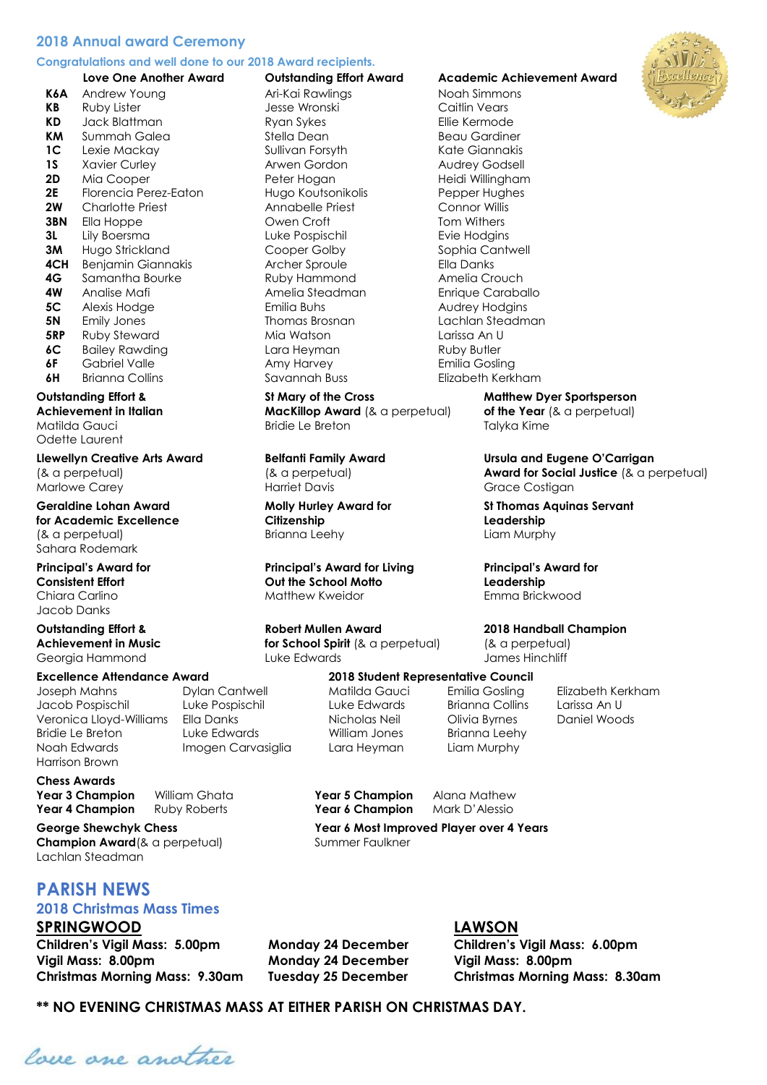#### **2018 Annual award Ceremony**

#### **Congratulations and well done to our 2018 Award recipients.**

**K6A** Andrew Young **Ari-Kai Rawlings** Noah Simmons **KB** Ruby Lister **Canada Caitlin Vears** Jesse Wronski **Caitlin Vears KD** Jack Blattman **Ryan Sykes** Ellie Kermode **KM** Summah Galea Stella Dean Stella Dean Beau Gardiner **1C** Lexie Mackay **Sullivan Forsyth** Kate Giannakis **1S** Xavier Curley **Arwen Gordon** Audrey Godsell **2D** Mia Cooper **Peter Hogan** Peter Hogan Heidi Willingham **2E** Florencia Perez-Eaton Hugo Koutsonikolis Pepper Hughes **2W** Charlotte Priest Annabelle Priest Connor Willis **3BN** Fila Hoppe **CRO** Commence Owen Croft Tom Withers **3L** Lily Boersma **Luke Pospischil Evie Hodgins** Evie Hodgins **3M** Hugo Strickland Cooper Golby Sophia Cantwell **4CH** Benjamin Giannakis **Archer Sproule** Ella Danks **4G** Samantha Bourke **Ruby Hammond** Amelia Crouch **4W** Analise Mafi **Amelia Steadman** Amelia Steadman Enrique Caraballo **5C** Alexis Hodge **Emilia Buhs** Emilia Buhs Audrey Hodgins **5N** Emily Jones **Thomas Brosnan** Lachlan Steadman **5RP** Ruby Steward **Mia Watson** Mia Watson Larissa An U **6C** Bailey Rawding **Communist Lara Heyman** Ruby Butler **6F** Gabriel Valle **Amy Harvey Constructs** Emilia Gosling **6H** Brianna Collins Savannah Buss Elizabeth Kerkham

Matilda Gauci Bridie Le Breton Talyka Kime Odette Laurent

Marlowe Carey **Market Davis Access** Harriet Davis **Grace Costigan** 

**for Academic Excellence Citizenship Leadership** (& a perpetual) Brianna Leehy Liam Murphy Sahara Rodemark

**Consistent Effort Out the School Motto Leadership** Chiara Carlino **Matthew Kweidor Emma Brickwood** Emma Brickwood Jacob Danks

**Achievement in Music <b>for School Spirit** (& a perpetual) (& a perpetual) Georgia Hammond Luke Edwards James Hinchliff

#### **Excellence Attendance Award 2018 Student Representative Council**

Joseph Mahns Dylan Cantwell Matilda Gauci Emilia Gosling Elizabeth Kerkham Jacob Pospischil Luke Pospischil Luke Edwards Brianna Collins Larissa An U Veronica Lloyd-Williams Ella Danks Nicholas Neil Olivia Byrnes Daniel Woods Bridie Le Breton Luke Edwards William Jones Brianna Leehy Noah Edwards Imogen Carvasiglia Lara Heyman Liam Murphy Harrison Brown

#### **Chess Awards Year 3 Champion** William Ghata **Year 5 Champion** Alana Mathew

**Year 4 Champion** Ruby Roberts **Year 6 Champion** Mark D'Alessio

**Champion Award** (& a perpetual) Summer Faulkner Lachlan Steadman

# **PARISH NEWS**

### **2018 Christmas Mass Times**

#### **SPRINGWOOD LAWSON**

**Children's Vigil Mass: 5.00pm Monday 24 December Children's Vigil Mass: 6.00pm Vigil Mass: 8.00pm Monday 24 December Vigil Mass: 8.00pm**

#### **Love One Another Award Outstanding Effort Award Academic Achievement Award**



**Outstanding Effort & St Mary of the Cross Matthew Dyer Sportsperson Achievement in Italian MacKillop Award** (& a perpetual) **of the Year** (& a perpetual)

**Llewellyn Creative Arts Award Belfanti Family Award Ursula and Eugene O'Carrigan**  (& a perpetual) (& a perpetual) **Award for Social Justice** (& a perpetual)

**Geraldine Lohan Award Molly Hurley Award for St Thomas Aquinas Servant** 

**Principal's Award for Principal's Award for Living Principal's Award for** 

#### **Outstanding Effort & Robert Mullen Award 2018 Handball Champion**

**George Shewchyk Chess Year 6 Most Improved Player over 4 Years**

**Christmas Morning Mass: 9.30am Tuesday 25 December Christmas Morning Mass: 8.30am**

**\*\* NO EVENING CHRISTMAS MASS AT EITHER PARISH ON CHRISTMAS DAY.**

lave one another